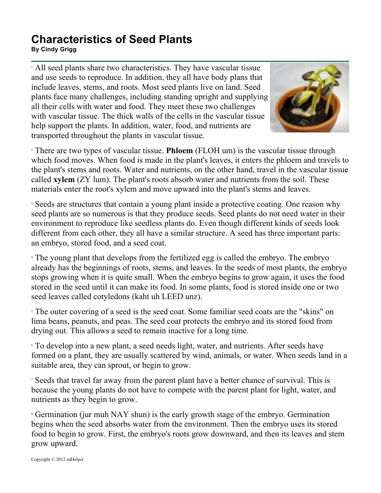## **Characteristics of Seed Plants**

**By Cindy Grigg**

<sup>1</sup> All seed plants share two characteristics. They have vascular tissue and use seeds to reproduce. In addition, they all have body plans that include leaves, stems, and roots. Most seed plants live on land. Seed plants face many challenges, including standing upright and supplying all their cells with water and food. They meet these two challenges with vascular tissue. The thick walls of the cells in the vascular tissue help support the plants. In addition, water, food, and nutrients are transported throughout the plants in vascular tissue.



<sup>2</sup> There are two types of vascular tissue. **Phloem** (FLOH um) is the vascular tissue through which food moves. When food is made in the plant's leaves, it enters the phloem and travels to the plant's stems and roots. Water and nutrients, on the other hand, travel in the vascular tissue called **xylem** (ZY lum). The plant's roots absorb water and nutrients from the soil. These materials enter the root's xylem and move upward into the plant's stems and leaves.

<sup>3</sup> Seeds are structures that contain a young plant inside a protective coating. One reason why seed plants are so numerous is that they produce seeds. Seed plants do not need water in their environment to reproduce like seedless plants do. Even though different kinds of seeds look different from each other, they all have a similar structure. A seed has three important parts: an embryo, stored food, and a seed coat.

<sup>4</sup> The young plant that develops from the fertilized egg is called the embryo. The embryo already has the beginnings of roots, stems, and leaves. In the seeds of most plants, the embryo stops growing when it is quite small. When the embryo begins to grow again, it uses the food stored in the seed until it can make its food. In some plants, food is stored inside one or two seed leaves called cotyledons (kaht uh LEED unz).

<sup>5</sup> The outer covering of a seed is the seed coat. Some familiar seed coats are the "skins" on lima beans, peanuts, and peas. The seed coat protects the embryo and its stored food from drying out. This allows a seed to remain inactive for a long time.

<sup>6</sup> To develop into a new plant, a seed needs light, water, and nutrients. After seeds have formed on a plant, they are usually scattered by wind, animals, or water. When seeds land in a suitable area, they can sprout, or begin to grow.

<sup>7</sup> Seeds that travel far away from the parent plant have a better chance of survival. This is because the young plants do not have to compete with the parent plant for light, water, and nutrients as they begin to grow.

<sup>8</sup> Germination (jur muh NAY shun) is the early growth stage of the embryo. Germination begins when the seed absorbs water from the environment. Then the embryo uses its stored food to begin to grow. First, the embryo's roots grow downward, and then its leaves and stem grow upward.